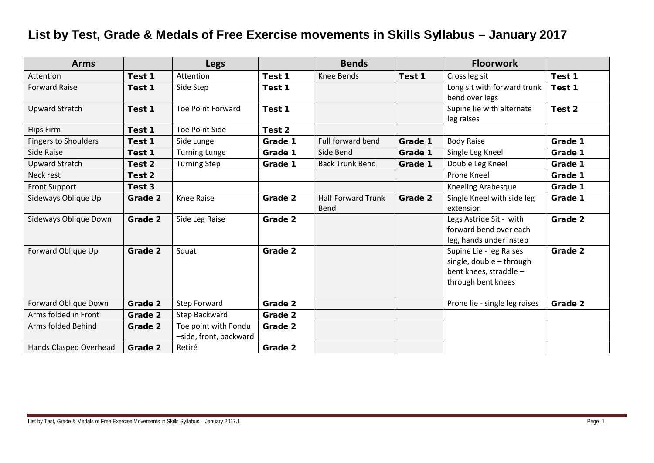## **List by Test, Grade & Medals of Free Exercise movements in Skills Syllabus – January 2017**

| <b>Arms</b>                 |         | <b>Legs</b>                                    |         | <b>Bends</b>                      |         | <b>Floorwork</b>                                                                                    |         |
|-----------------------------|---------|------------------------------------------------|---------|-----------------------------------|---------|-----------------------------------------------------------------------------------------------------|---------|
| Attention                   | Test 1  | Attention                                      | Test 1  | <b>Knee Bends</b>                 | Test 1  | Cross leg sit                                                                                       | Test 1  |
| <b>Forward Raise</b>        | Test 1  | Side Step                                      | Test 1  |                                   |         | Long sit with forward trunk<br>bend over legs                                                       | Test 1  |
| <b>Upward Stretch</b>       | Test 1  | <b>Toe Point Forward</b>                       | Test 1  |                                   |         | Supine lie with alternate<br>leg raises                                                             | Test 2  |
| Hips Firm                   | Test 1  | Toe Point Side                                 | Test 2  |                                   |         |                                                                                                     |         |
| <b>Fingers to Shoulders</b> | Test 1  | Side Lunge                                     | Grade 1 | Full forward bend                 | Grade 1 | <b>Body Raise</b>                                                                                   | Grade 1 |
| Side Raise                  | Test 1  | <b>Turning Lunge</b>                           | Grade 1 | Side Bend                         | Grade 1 | Single Leg Kneel                                                                                    | Grade 1 |
| Upward Stretch              | Test 2  | <b>Turning Step</b>                            | Grade 1 | <b>Back Trunk Bend</b>            | Grade 1 | Double Leg Kneel                                                                                    | Grade 1 |
| Neck rest                   | Test 2  |                                                |         |                                   |         | Prone Kneel                                                                                         | Grade 1 |
| <b>Front Support</b>        | Test 3  |                                                |         |                                   |         | Kneeling Arabesque                                                                                  | Grade 1 |
| Sideways Oblique Up         | Grade 2 | Knee Raise                                     | Grade 2 | <b>Half Forward Trunk</b><br>Bend | Grade 2 | Single Kneel with side leg<br>extension                                                             | Grade 1 |
| Sideways Oblique Down       | Grade 2 | Side Leg Raise                                 | Grade 2 |                                   |         | Legs Astride Sit - with<br>forward bend over each<br>leg, hands under instep                        | Grade 2 |
| Forward Oblique Up          | Grade 2 | Squat                                          | Grade 2 |                                   |         | Supine Lie - leg Raises<br>single, double - through<br>bent knees, straddle -<br>through bent knees | Grade 2 |
| Forward Oblique Down        | Grade 2 | <b>Step Forward</b>                            | Grade 2 |                                   |         | Prone lie - single leg raises                                                                       | Grade 2 |
| Arms folded in Front        | Grade 2 | Step Backward                                  | Grade 2 |                                   |         |                                                                                                     |         |
| Arms folded Behind          | Grade 2 | Toe point with Fondu<br>-side, front, backward | Grade 2 |                                   |         |                                                                                                     |         |
| Hands Clasped Overhead      | Grade 2 | Retiré                                         | Grade 2 |                                   |         |                                                                                                     |         |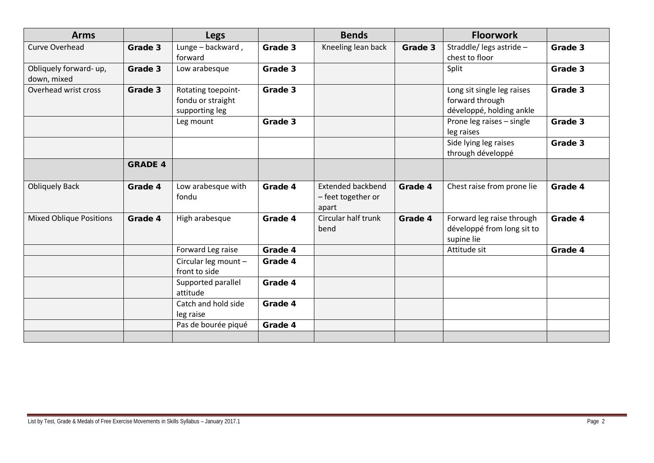| Lunge - backward,<br>forward                              | Grade 3 | Kneeling lean back                                                                                         | Grade 3 |                                                                           |         |
|-----------------------------------------------------------|---------|------------------------------------------------------------------------------------------------------------|---------|---------------------------------------------------------------------------|---------|
|                                                           |         |                                                                                                            |         | Straddle/ legs astride -<br>chest to floor                                | Grade 3 |
| Low arabesque                                             |         |                                                                                                            |         | Split                                                                     | Grade 3 |
| Rotating toepoint-<br>fondu or straight<br>supporting leg |         |                                                                                                            |         | Long sit single leg raises<br>forward through<br>développé, holding ankle | Grade 3 |
| Leg mount                                                 |         |                                                                                                            |         | Prone leg raises - single<br>leg raises                                   | Grade 3 |
|                                                           |         |                                                                                                            |         | Side lying leg raises<br>through développé                                | Grade 3 |
|                                                           |         |                                                                                                            |         |                                                                           |         |
| Low arabesque with                                        |         | <b>Extended backbend</b><br>- feet together or<br>apart                                                    | Grade 4 | Chest raise from prone lie                                                | Grade 4 |
| High arabesque                                            |         | Circular half trunk<br>bend                                                                                | Grade 4 | Forward leg raise through<br>développé from long sit to<br>supine lie     | Grade 4 |
| Forward Leg raise                                         |         |                                                                                                            |         | Attitude sit                                                              | Grade 4 |
| Circular leg mount -<br>front to side                     |         |                                                                                                            |         |                                                                           |         |
| Supported parallel<br>attitude                            |         |                                                                                                            |         |                                                                           |         |
| Catch and hold side<br>leg raise                          |         |                                                                                                            |         |                                                                           |         |
| Pas de bourée piqué                                       |         |                                                                                                            |         |                                                                           |         |
|                                                           |         | Grade 3<br>Grade 3<br>Grade 3<br>Grade 4<br>Grade 4<br>Grade 4<br>Grade 4<br>Grade 4<br>Grade 4<br>Grade 4 |         |                                                                           |         |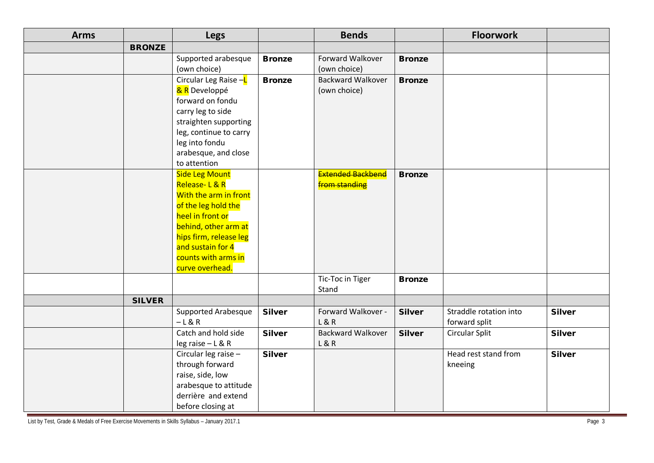| <b>Arms</b> |               | Legs                                                                                                                                                                                                                      |               | <b>Bends</b>                              |               | <b>Floorwork</b>                        |               |
|-------------|---------------|---------------------------------------------------------------------------------------------------------------------------------------------------------------------------------------------------------------------------|---------------|-------------------------------------------|---------------|-----------------------------------------|---------------|
|             | <b>BRONZE</b> |                                                                                                                                                                                                                           |               |                                           |               |                                         |               |
|             |               | Supported arabesque<br>(own choice)                                                                                                                                                                                       | <b>Bronze</b> | Forward Walkover<br>(own choice)          | <b>Bronze</b> |                                         |               |
|             |               | Circular Leg Raise -L<br>& R Developpé<br>forward on fondu<br>carry leg to side<br>straighten supporting<br>leg, continue to carry<br>leg into fondu<br>arabesque, and close<br>to attention                              | <b>Bronze</b> | <b>Backward Walkover</b><br>(own choice)  | <b>Bronze</b> |                                         |               |
|             |               | <b>Side Leg Mount</b><br>Release-L&R<br>With the arm in front<br>of the leg hold the<br>heel in front or<br>behind, other arm at<br>hips firm, release leg<br>and sustain for 4<br>counts with arms in<br>curve overhead. |               | Extended Backbend<br><b>from standing</b> | <b>Bronze</b> |                                         |               |
|             |               |                                                                                                                                                                                                                           |               | Tic-Toc in Tiger<br>Stand                 | <b>Bronze</b> |                                         |               |
|             | <b>SILVER</b> |                                                                                                                                                                                                                           |               |                                           |               |                                         |               |
|             |               | <b>Supported Arabesque</b><br>$-L & R$                                                                                                                                                                                    | <b>Silver</b> | Forward Walkover -<br>L & R               | <b>Silver</b> | Straddle rotation into<br>forward split | <b>Silver</b> |
|             |               | Catch and hold side<br>leg raise - L & R                                                                                                                                                                                  | <b>Silver</b> | <b>Backward Walkover</b><br>L & R         | <b>Silver</b> | Circular Split                          | <b>Silver</b> |
|             |               | Circular leg raise -<br>through forward<br>raise, side, low<br>arabesque to attitude<br>derrière and extend<br>before closing at                                                                                          | <b>Silver</b> |                                           |               | Head rest stand from<br>kneeing         | <b>Silver</b> |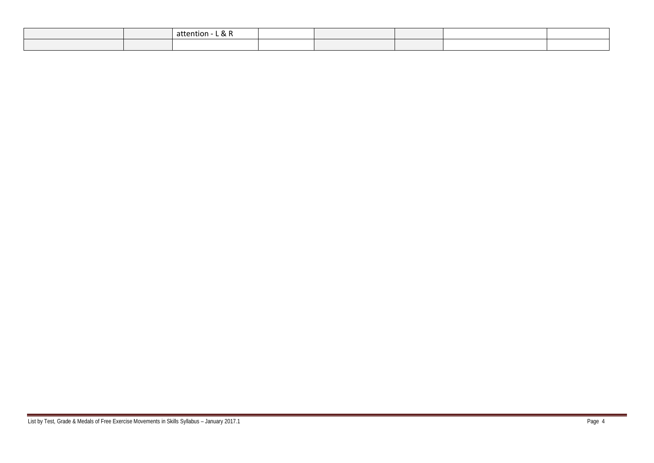|  | <sup>o</sup><br>.<br>attention |  |  |  |
|--|--------------------------------|--|--|--|
|  |                                |  |  |  |